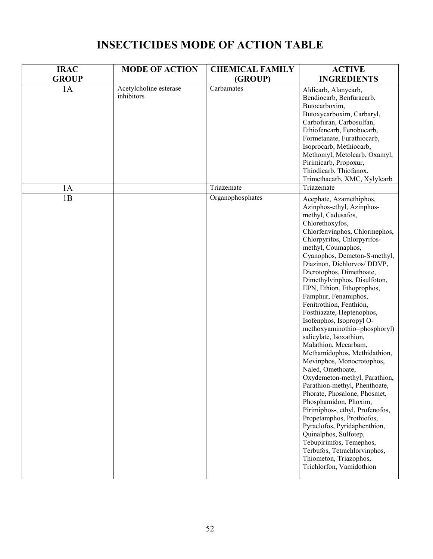| <b>IRAC</b>  | <b>MODE OF ACTION</b>                | <b>CHEMICAL FAMILY</b> | <b>ACTIVE</b>                                                                                                                                                                                                                                                                                                                                                                                                                                                                                                                                                                                                                                                                                                                                                                                                                                                                                                                                                                                    |
|--------------|--------------------------------------|------------------------|--------------------------------------------------------------------------------------------------------------------------------------------------------------------------------------------------------------------------------------------------------------------------------------------------------------------------------------------------------------------------------------------------------------------------------------------------------------------------------------------------------------------------------------------------------------------------------------------------------------------------------------------------------------------------------------------------------------------------------------------------------------------------------------------------------------------------------------------------------------------------------------------------------------------------------------------------------------------------------------------------|
| <b>GROUP</b> |                                      | (GROUP)                | <b>INGREDIENTS</b>                                                                                                                                                                                                                                                                                                                                                                                                                                                                                                                                                                                                                                                                                                                                                                                                                                                                                                                                                                               |
| 1A           | Acetylcholine esterase<br>inhibitors | Carbamates             | Aldicarb, Alanycarb,<br>Bendiocarb, Benfuracarb,<br>Butocarboxim,<br>Butoxycarboxim, Carbaryl,<br>Carbofuran, Carbosulfan,<br>Ethiofencarb, Fenobucarb,<br>Formetanate, Furathiocarb,<br>Isoprocarb, Methiocarb,<br>Methomyl, Metolcarb, Oxamyl,<br>Pirimicarb, Propoxur,<br>Thiodicarb, Thiofanox,<br>Trimethacarb, XMC, Xylylcarb                                                                                                                                                                                                                                                                                                                                                                                                                                                                                                                                                                                                                                                              |
| 1A           |                                      | Triazemate             | Triazemate                                                                                                                                                                                                                                                                                                                                                                                                                                                                                                                                                                                                                                                                                                                                                                                                                                                                                                                                                                                       |
| 1B           |                                      | Organophosphates       | Acephate, Azamethiphos,<br>Azinphos-ethyl, Azinphos-<br>methyl, Cadusafos,<br>Chlorethoxyfos,<br>Chlorfenvinphos, Chlormephos,<br>Chlorpyrifos, Chlorpyrifos-<br>methyl, Coumaphos,<br>Cyanophos, Demeton-S-methyl,<br>Diazinon, Dichlorvos/DDVP,<br>Dicrotophos, Dimethoate,<br>Dimethylvinphos, Disulfoton,<br>EPN, Ethion, Ethoprophos,<br>Famphur, Fenamiphos,<br>Fenitrothion, Fenthion,<br>Fosthiazate, Heptenophos,<br>Isofenphos, Isopropyl O-<br>methoxyaminothio=phosphoryl)<br>salicylate, Isoxathion,<br>Malathion, Mecarbam,<br>Methamidophos, Methidathion,<br>Mevinphos, Monocrotophos,<br>Naled, Omethoate,<br>Oxydemeton-methyl, Parathion,<br>Parathion-methyl, Phenthoate,<br>Phorate, Phosalone, Phosmet,<br>Phosphamidon, Phoxim,<br>Pirimiphos-, ethyl, Profenofos,<br>Propetamphos, Prothiofos,<br>Pyraclofos, Pyridaphenthion,<br>Quinalphos, Sulfotep,<br>Tebupirimfos, Temephos,<br>Terbufos, Tetrachlorvinphos,<br>Thiometon, Triazophos,<br>Trichlorfon, Vamidothion |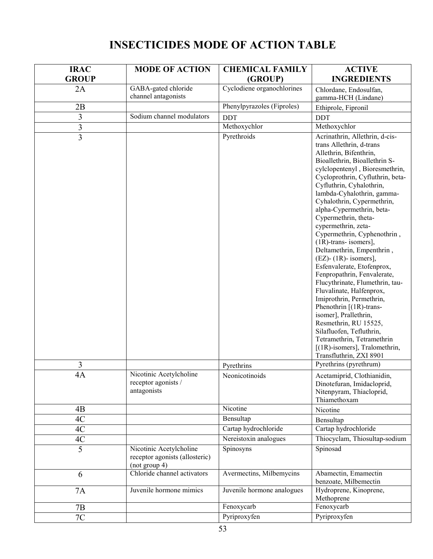| <b>IRAC</b>    | <b>MODE OF ACTION</b>                                                      | <b>CHEMICAL FAMILY</b>     | <b>ACTIVE</b>                                                                                                                                                                                                                                                                                                                                                                                                                                                                                                                                                                                                                                                                                                                                                                                                                                        |
|----------------|----------------------------------------------------------------------------|----------------------------|------------------------------------------------------------------------------------------------------------------------------------------------------------------------------------------------------------------------------------------------------------------------------------------------------------------------------------------------------------------------------------------------------------------------------------------------------------------------------------------------------------------------------------------------------------------------------------------------------------------------------------------------------------------------------------------------------------------------------------------------------------------------------------------------------------------------------------------------------|
| <b>GROUP</b>   |                                                                            | (GROUP)                    | <b>INGREDIENTS</b>                                                                                                                                                                                                                                                                                                                                                                                                                                                                                                                                                                                                                                                                                                                                                                                                                                   |
| 2A             | GABA-gated chloride<br>channel antagonists                                 | Cyclodiene organochlorines | Chlordane, Endosulfan,<br>gamma-HCH (Lindane)                                                                                                                                                                                                                                                                                                                                                                                                                                                                                                                                                                                                                                                                                                                                                                                                        |
| 2B             |                                                                            | Phenylpyrazoles (Fiproles) | Ethiprole, Fipronil                                                                                                                                                                                                                                                                                                                                                                                                                                                                                                                                                                                                                                                                                                                                                                                                                                  |
| 3              | Sodium channel modulators                                                  | <b>DDT</b>                 | <b>DDT</b>                                                                                                                                                                                                                                                                                                                                                                                                                                                                                                                                                                                                                                                                                                                                                                                                                                           |
| 3              |                                                                            | Methoxychlor               | Methoxychlor                                                                                                                                                                                                                                                                                                                                                                                                                                                                                                                                                                                                                                                                                                                                                                                                                                         |
| $\overline{3}$ |                                                                            | Pyrethroids                | Acrinathrin, Allethrin, d-cis-<br>trans Allethrin, d-trans<br>Allethrin, Bifenthrin,<br>Bioallethrin, Bioallethrin S-<br>cylclopentenyl, Bioresmethrin,<br>Cycloprothrin, Cyfluthrin, beta-<br>Cyfluthrin, Cyhalothrin,<br>lambda-Cyhalothrin, gamma-<br>Cyhalothrin, Cypermethrin,<br>alpha-Cypermethrin, beta-<br>Cypermethrin, theta-<br>cypermethrin, zeta-<br>Cypermethrin, Cyphenothrin,<br>$(1R)$ -trans- isomers],<br>Deltamethrin, Empenthrin,<br>$(EZ)$ - (1R)- isomers],<br>Esfenvalerate, Etofenprox,<br>Fenpropathrin, Fenvalerate,<br>Flucythrinate, Flumethrin, tau-<br>Fluvalinate, Halfenprox,<br>Imiprothrin, Permethrin,<br>Phenothrin $[(1R)$ -trans-<br>isomer], Prallethrin,<br>Resmethrin, RU 15525,<br>Silafluofen, Tefluthrin,<br>Tetramethrin, Tetramethrin<br>$[(1R)$ -isomers], Tralomethrin,<br>Transfluthrin, ZXI 8901 |
| 3              |                                                                            | Pyrethrins                 | Pyrethrins (pyrethrum)                                                                                                                                                                                                                                                                                                                                                                                                                                                                                                                                                                                                                                                                                                                                                                                                                               |
| 4A             | Nicotinic Acetylcholine<br>receptor agonists /<br>antagonists              | Neonicotinoids             | Acetamiprid, Clothianidin,<br>Dinotefuran, Imidacloprid,<br>Nitenpyram, Thiacloprid,<br>Thiamethoxam                                                                                                                                                                                                                                                                                                                                                                                                                                                                                                                                                                                                                                                                                                                                                 |
| 4B             |                                                                            | Nicotine                   | Nicotine                                                                                                                                                                                                                                                                                                                                                                                                                                                                                                                                                                                                                                                                                                                                                                                                                                             |
| 4C             |                                                                            | Bensultap                  | Bensultap                                                                                                                                                                                                                                                                                                                                                                                                                                                                                                                                                                                                                                                                                                                                                                                                                                            |
| 4C             |                                                                            | Cartap hydrochloride       | Cartap hydrochloride                                                                                                                                                                                                                                                                                                                                                                                                                                                                                                                                                                                                                                                                                                                                                                                                                                 |
| $4\mathrm{C}$  |                                                                            | Nereistoxin analogues      | Thiocyclam, Thiosultap-sodium                                                                                                                                                                                                                                                                                                                                                                                                                                                                                                                                                                                                                                                                                                                                                                                                                        |
| $\overline{5}$ | Nicotinic Acetylcholine<br>receptor agonists (allosteric)<br>(not group 4) | Spinosyns                  | Spinosad                                                                                                                                                                                                                                                                                                                                                                                                                                                                                                                                                                                                                                                                                                                                                                                                                                             |
| 6              | Chloride channel activators                                                | Avermectins, Milbemycins   | Abamectin, Emamectin<br>benzoate, Milbemectin                                                                                                                                                                                                                                                                                                                                                                                                                                                                                                                                                                                                                                                                                                                                                                                                        |
| <b>7A</b>      | Juvenile hormone mimics                                                    | Juvenile hormone analogues | Hydroprene, Kinoprene,<br>Methoprene                                                                                                                                                                                                                                                                                                                                                                                                                                                                                                                                                                                                                                                                                                                                                                                                                 |
| 7B             |                                                                            | Fenoxycarb                 | Fenoxycarb                                                                                                                                                                                                                                                                                                                                                                                                                                                                                                                                                                                                                                                                                                                                                                                                                                           |
| 7C             |                                                                            | Pyriproxyfen               | Pyriproxyfen                                                                                                                                                                                                                                                                                                                                                                                                                                                                                                                                                                                                                                                                                                                                                                                                                                         |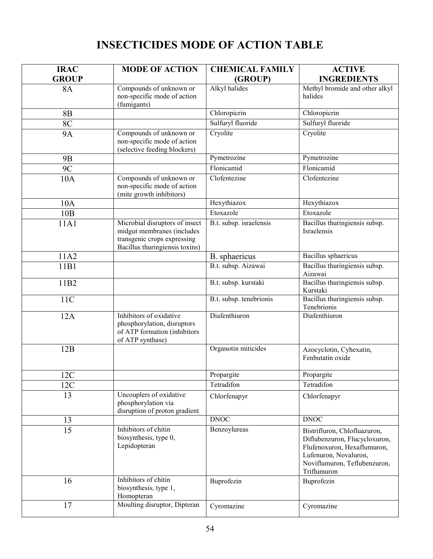| <b>IRAC</b>      | <b>MODE OF ACTION</b>                                                                                                         | <b>CHEMICAL FAMILY</b>  | <b>ACTIVE</b>                                                                                                                                                        |
|------------------|-------------------------------------------------------------------------------------------------------------------------------|-------------------------|----------------------------------------------------------------------------------------------------------------------------------------------------------------------|
| <b>GROUP</b>     |                                                                                                                               | (GROUP)                 | <b>INGREDIENTS</b>                                                                                                                                                   |
| <b>8A</b>        | Compounds of unknown or<br>non-specific mode of action<br>(fumigants)                                                         | Alkyl halides           | Methyl bromide and other alkyl<br>halides                                                                                                                            |
| 8B               |                                                                                                                               | Chloropicrin            | Chloropicrin                                                                                                                                                         |
| <b>8C</b>        |                                                                                                                               | Sulfuryl fluoride       | Sulfuryl fluoride                                                                                                                                                    |
| <b>9A</b>        | Compounds of unknown or<br>non-specific mode of action<br>(selective feeding blockers)                                        | Cryolite                | Cryolite                                                                                                                                                             |
| <b>9B</b>        |                                                                                                                               | Pymetrozine             | Pymetrozine                                                                                                                                                          |
| <b>9C</b>        |                                                                                                                               | Flonicamid              | Flonicamid                                                                                                                                                           |
| 10A              | Compounds of unknown or<br>non-specific mode of action<br>(mite growth inhibitors)                                            | Clofentezine            | Clofentezine                                                                                                                                                         |
| 10A              |                                                                                                                               | Hexythiazox             | Hexythiazox                                                                                                                                                          |
| 10B              |                                                                                                                               | Etoxazole               | Etoxazole                                                                                                                                                            |
| 11A1             | Microbial disruptors of insect<br>midgut membranes (includes<br>transgenic crops expressing<br>Bacillus thuringiensis toxins) | B.t. subsp. israelensis | Bacillus thuringiensis subsp.<br>Israelensis                                                                                                                         |
| 11A2             |                                                                                                                               | B. sphaericus           | Bacillus sphaericus                                                                                                                                                  |
| 11B1             |                                                                                                                               | B.t. subsp. Aizawai     | Bacillus thuringiensis subsp.<br>Aizawai                                                                                                                             |
| 11B <sub>2</sub> |                                                                                                                               | B.t. subsp. kurstaki    | Bacillus thuringiensis subsp.<br>Kurstaki                                                                                                                            |
| 11C              |                                                                                                                               | B.t. subsp. tenebrionis | Bacillus thuringiensis subsp.<br>Tenebrionis                                                                                                                         |
| 12A              | Inhibitors of oxidative<br>phosphorylation, disruptors<br>of ATP formation (inhibitors<br>of ATP synthase)                    | Diafenthiuron           | Diafenthiuron                                                                                                                                                        |
| 12B              |                                                                                                                               | Organotin miticides     | Azocyclotin, Cyhexatin,<br>Fenbutatin oxide                                                                                                                          |
| 12C              |                                                                                                                               | Propargite              | Propargite                                                                                                                                                           |
| 12C              |                                                                                                                               | Tetradifon              | Tetradifon                                                                                                                                                           |
| 13               | Uncouplers of oxidative<br>phosphorylation via<br>disruption of proton gradient                                               | Chlorfenapyr            | Chlorfenapyr                                                                                                                                                         |
| 13               |                                                                                                                               | <b>DNOC</b>             | <b>DNOC</b>                                                                                                                                                          |
| 15               | Inhibitors of chitin<br>biosynthesis, type 0,<br>Lepidopteran                                                                 | Benzoylureas            | Bistrifluron, Chlofluazuron,<br>Diflubenzuron, Flucycloxuron,<br>Flufenoxuron, Hexaflumuron,<br>Lufenuron, Novaluron,<br>Noviflumuron, Teflubenzuron,<br>Triflumuron |
| 16               | Inhibitors of chitin<br>biosynthesis, type 1,<br>Homopteran                                                                   | Buprofezin              | Buprofezin                                                                                                                                                           |
| 17               | Moulting disruptor, Dipteran                                                                                                  | Cyromazine              | Cyromazine                                                                                                                                                           |